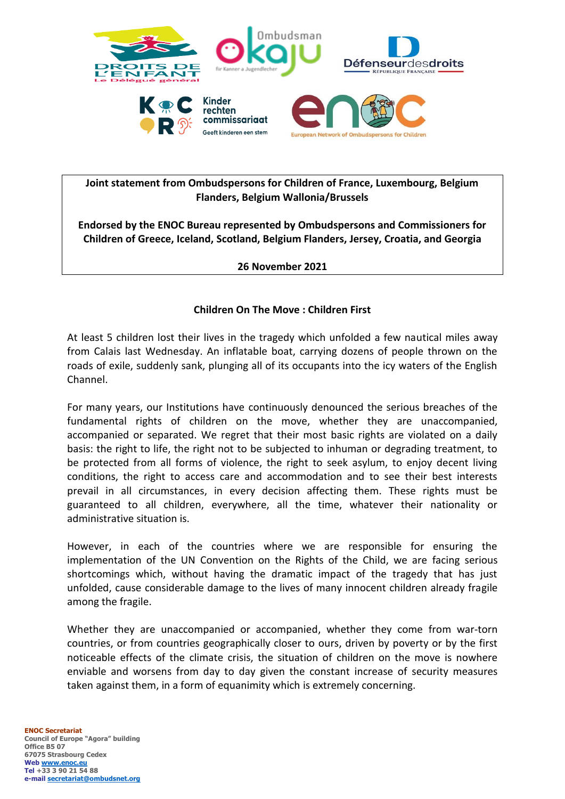

## **Joint statement from Ombudspersons for Children of France, Luxembourg, Belgium Flanders, Belgium Wallonia/Brussels**

**Endorsed by the ENOC Bureau represented by Ombudspersons and Commissioners for Children of Greece, Iceland, Scotland, Belgium Flanders, Jersey, Croatia, and Georgia**

## **26 November 2021**

## **Children On The Move : Children First**

At least 5 children lost their lives in the tragedy which unfolded a few nautical miles away from Calais last Wednesday. An inflatable boat, carrying dozens of people thrown on the roads of exile, suddenly sank, plunging all of its occupants into the icy waters of the English Channel.

For many years, our Institutions have continuously denounced the serious breaches of the fundamental rights of children on the move, whether they are unaccompanied, accompanied or separated. We regret that their most basic rights are violated on a daily basis: the right to life, the right not to be subjected to inhuman or degrading treatment, to be protected from all forms of violence, the right to seek asylum, to enjoy decent living conditions, the right to access care and accommodation and to see their best interests prevail in all circumstances, in every decision affecting them. These rights must be guaranteed to all children, everywhere, all the time, whatever their nationality or administrative situation is.

However, in each of the countries where we are responsible for ensuring the implementation of the UN Convention on the Rights of the Child, we are facing serious shortcomings which, without having the dramatic impact of the tragedy that has just unfolded, cause considerable damage to the lives of many innocent children already fragile among the fragile.

Whether they are unaccompanied or accompanied, whether they come from war-torn countries, or from countries geographically closer to ours, driven by poverty or by the first noticeable effects of the climate crisis, the situation of children on the move is nowhere enviable and worsens from day to day given the constant increase of security measures taken against them, in a form of equanimity which is extremely concerning.